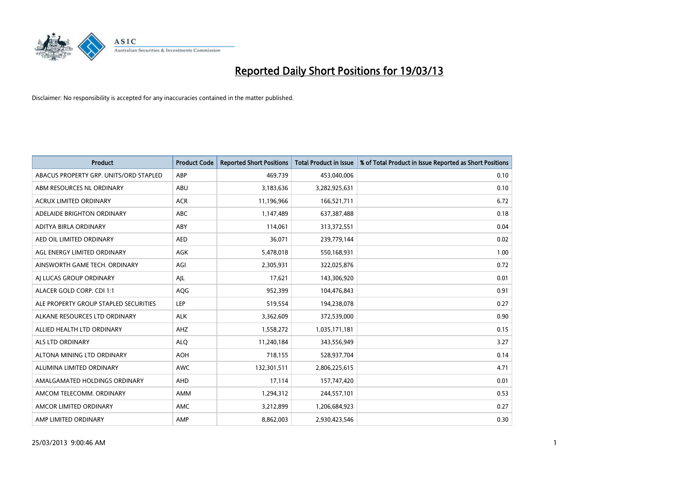

| <b>Product</b>                         | <b>Product Code</b> | <b>Reported Short Positions</b> | <b>Total Product in Issue</b> | % of Total Product in Issue Reported as Short Positions |
|----------------------------------------|---------------------|---------------------------------|-------------------------------|---------------------------------------------------------|
| ABACUS PROPERTY GRP. UNITS/ORD STAPLED | ABP                 | 469,739                         | 453,040,006                   | 0.10                                                    |
| ABM RESOURCES NL ORDINARY              | ABU                 | 3,183,636                       | 3,282,925,631                 | 0.10                                                    |
| <b>ACRUX LIMITED ORDINARY</b>          | <b>ACR</b>          | 11,196,966                      | 166,521,711                   | 6.72                                                    |
| ADELAIDE BRIGHTON ORDINARY             | <b>ABC</b>          | 1,147,489                       | 637,387,488                   | 0.18                                                    |
| <b>ADITYA BIRLA ORDINARY</b>           | ABY                 | 114,061                         | 313,372,551                   | 0.04                                                    |
| AED OIL LIMITED ORDINARY               | <b>AED</b>          | 36,071                          | 239,779,144                   | 0.02                                                    |
| AGL ENERGY LIMITED ORDINARY            | AGK                 | 5,478,018                       | 550,168,931                   | 1.00                                                    |
| AINSWORTH GAME TECH. ORDINARY          | AGI                 | 2,305,931                       | 322,025,876                   | 0.72                                                    |
| AI LUCAS GROUP ORDINARY                | AIL                 | 17,621                          | 143,306,920                   | 0.01                                                    |
| ALACER GOLD CORP. CDI 1:1              | AQG                 | 952,399                         | 104,476,843                   | 0.91                                                    |
| ALE PROPERTY GROUP STAPLED SECURITIES  | <b>LEP</b>          | 519,554                         | 194,238,078                   | 0.27                                                    |
| ALKANE RESOURCES LTD ORDINARY          | <b>ALK</b>          | 3,362,609                       | 372,539,000                   | 0.90                                                    |
| ALLIED HEALTH LTD ORDINARY             | AHZ                 | 1,558,272                       | 1,035,171,181                 | 0.15                                                    |
| <b>ALS LTD ORDINARY</b>                | <b>ALO</b>          | 11,240,184                      | 343,556,949                   | 3.27                                                    |
| ALTONA MINING LTD ORDINARY             | <b>AOH</b>          | 718,155                         | 528,937,704                   | 0.14                                                    |
| ALUMINA LIMITED ORDINARY               | <b>AWC</b>          | 132,301,511                     | 2,806,225,615                 | 4.71                                                    |
| AMALGAMATED HOLDINGS ORDINARY          | AHD                 | 17,114                          | 157,747,420                   | 0.01                                                    |
| AMCOM TELECOMM. ORDINARY               | AMM                 | 1,294,312                       | 244,557,101                   | 0.53                                                    |
| AMCOR LIMITED ORDINARY                 | <b>AMC</b>          | 3,212,899                       | 1,206,684,923                 | 0.27                                                    |
| AMP LIMITED ORDINARY                   | AMP                 | 8.862.003                       | 2,930,423,546                 | 0.30                                                    |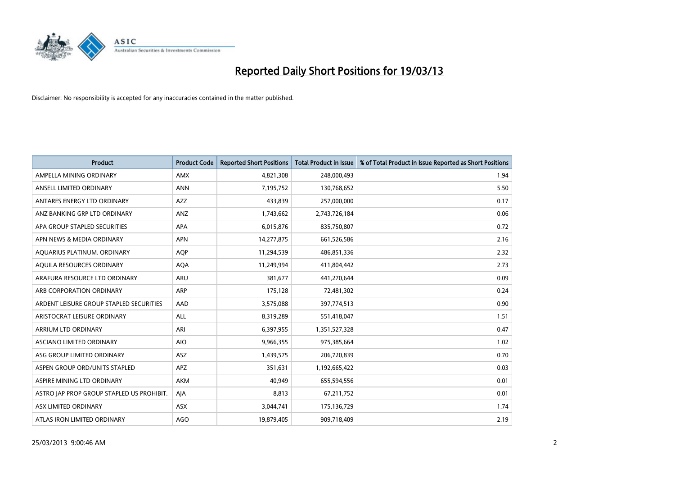

| <b>Product</b>                            | <b>Product Code</b> | <b>Reported Short Positions</b> | <b>Total Product in Issue</b> | % of Total Product in Issue Reported as Short Positions |
|-------------------------------------------|---------------------|---------------------------------|-------------------------------|---------------------------------------------------------|
| AMPELLA MINING ORDINARY                   | <b>AMX</b>          | 4,821,308                       | 248,000,493                   | 1.94                                                    |
| ANSELL LIMITED ORDINARY                   | <b>ANN</b>          | 7,195,752                       | 130,768,652                   | 5.50                                                    |
| ANTARES ENERGY LTD ORDINARY               | <b>AZZ</b>          | 433,839                         | 257,000,000                   | 0.17                                                    |
| ANZ BANKING GRP LTD ORDINARY              | <b>ANZ</b>          | 1,743,662                       | 2,743,726,184                 | 0.06                                                    |
| APA GROUP STAPLED SECURITIES              | <b>APA</b>          | 6,015,876                       | 835,750,807                   | 0.72                                                    |
| APN NEWS & MEDIA ORDINARY                 | <b>APN</b>          | 14,277,875                      | 661,526,586                   | 2.16                                                    |
| AQUARIUS PLATINUM. ORDINARY               | <b>AOP</b>          | 11,294,539                      | 486,851,336                   | 2.32                                                    |
| AQUILA RESOURCES ORDINARY                 | <b>AQA</b>          | 11,249,994                      | 411,804,442                   | 2.73                                                    |
| ARAFURA RESOURCE LTD ORDINARY             | <b>ARU</b>          | 381.677                         | 441,270,644                   | 0.09                                                    |
| ARB CORPORATION ORDINARY                  | ARP                 | 175,128                         | 72,481,302                    | 0.24                                                    |
| ARDENT LEISURE GROUP STAPLED SECURITIES   | AAD                 | 3,575,088                       | 397,774,513                   | 0.90                                                    |
| ARISTOCRAT LEISURE ORDINARY               | ALL                 | 8,319,289                       | 551,418,047                   | 1.51                                                    |
| ARRIUM LTD ORDINARY                       | ARI                 | 6,397,955                       | 1,351,527,328                 | 0.47                                                    |
| <b>ASCIANO LIMITED ORDINARY</b>           | <b>AIO</b>          | 9,966,355                       | 975,385,664                   | 1.02                                                    |
| ASG GROUP LIMITED ORDINARY                | <b>ASZ</b>          | 1,439,575                       | 206,720,839                   | 0.70                                                    |
| ASPEN GROUP ORD/UNITS STAPLED             | <b>APZ</b>          | 351,631                         | 1,192,665,422                 | 0.03                                                    |
| ASPIRE MINING LTD ORDINARY                | <b>AKM</b>          | 40,949                          | 655,594,556                   | 0.01                                                    |
| ASTRO JAP PROP GROUP STAPLED US PROHIBIT. | AIA                 | 8,813                           | 67,211,752                    | 0.01                                                    |
| ASX LIMITED ORDINARY                      | ASX                 | 3,044,741                       | 175,136,729                   | 1.74                                                    |
| ATLAS IRON LIMITED ORDINARY               | <b>AGO</b>          | 19,879,405                      | 909,718,409                   | 2.19                                                    |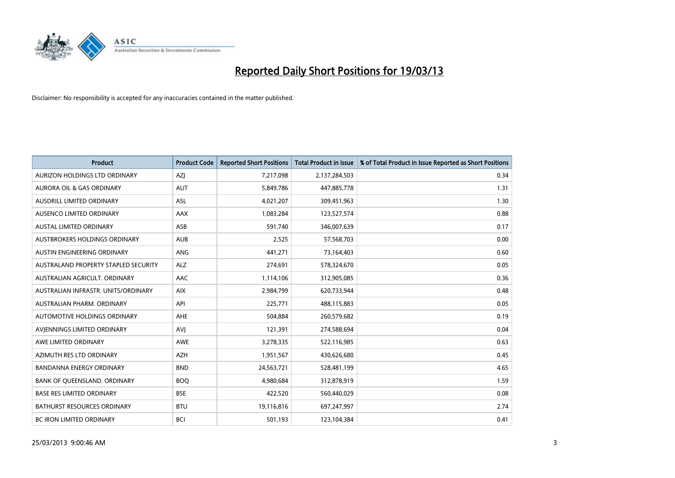

| <b>Product</b>                       | <b>Product Code</b> | <b>Reported Short Positions</b> | <b>Total Product in Issue</b> | % of Total Product in Issue Reported as Short Positions |
|--------------------------------------|---------------------|---------------------------------|-------------------------------|---------------------------------------------------------|
| AURIZON HOLDINGS LTD ORDINARY        | AZJ                 | 7,217,098                       | 2,137,284,503                 | 0.34                                                    |
| AURORA OIL & GAS ORDINARY            | <b>AUT</b>          | 5,849,786                       | 447,885,778                   | 1.31                                                    |
| <b>AUSDRILL LIMITED ORDINARY</b>     | <b>ASL</b>          | 4,021,207                       | 309,451,963                   | 1.30                                                    |
| AUSENCO LIMITED ORDINARY             | AAX                 | 1,083,284                       | 123,527,574                   | 0.88                                                    |
| <b>AUSTAL LIMITED ORDINARY</b>       | ASB                 | 591,740                         | 346,007,639                   | 0.17                                                    |
| AUSTBROKERS HOLDINGS ORDINARY        | <b>AUB</b>          | 2,525                           | 57,568,703                    | 0.00                                                    |
| AUSTIN ENGINEERING ORDINARY          | <b>ANG</b>          | 441,271                         | 73,164,403                    | 0.60                                                    |
| AUSTRALAND PROPERTY STAPLED SECURITY | <b>ALZ</b>          | 274,691                         | 578,324,670                   | 0.05                                                    |
| AUSTRALIAN AGRICULT, ORDINARY        | AAC                 | 1,114,106                       | 312,905,085                   | 0.36                                                    |
| AUSTRALIAN INFRASTR, UNITS/ORDINARY  | <b>AIX</b>          | 2,984,799                       | 620,733,944                   | 0.48                                                    |
| AUSTRALIAN PHARM. ORDINARY           | API                 | 225,771                         | 488,115,883                   | 0.05                                                    |
| <b>AUTOMOTIVE HOLDINGS ORDINARY</b>  | AHE                 | 504,884                         | 260,579,682                   | 0.19                                                    |
| AVIENNINGS LIMITED ORDINARY          | AVI                 | 121,391                         | 274,588,694                   | 0.04                                                    |
| AWE LIMITED ORDINARY                 | <b>AWE</b>          | 3,278,335                       | 522,116,985                   | 0.63                                                    |
| AZIMUTH RES LTD ORDINARY             | <b>AZH</b>          | 1,951,567                       | 430,626,680                   | 0.45                                                    |
| BANDANNA ENERGY ORDINARY             | <b>BND</b>          | 24,563,721                      | 528,481,199                   | 4.65                                                    |
| BANK OF QUEENSLAND. ORDINARY         | <b>BOQ</b>          | 4,980,684                       | 312,878,919                   | 1.59                                                    |
| <b>BASE RES LIMITED ORDINARY</b>     | <b>BSE</b>          | 422,520                         | 560,440,029                   | 0.08                                                    |
| <b>BATHURST RESOURCES ORDINARY</b>   | <b>BTU</b>          | 19,116,816                      | 697,247,997                   | 2.74                                                    |
| BC IRON LIMITED ORDINARY             | <b>BCI</b>          | 501,193                         | 123,104,384                   | 0.41                                                    |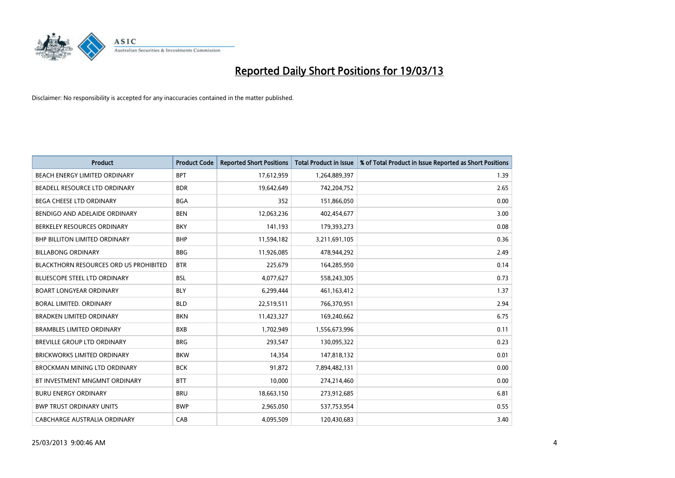

| <b>Product</b>                                | <b>Product Code</b> | <b>Reported Short Positions</b> | <b>Total Product in Issue</b> | % of Total Product in Issue Reported as Short Positions |
|-----------------------------------------------|---------------------|---------------------------------|-------------------------------|---------------------------------------------------------|
| <b>BEACH ENERGY LIMITED ORDINARY</b>          | <b>BPT</b>          | 17,612,959                      | 1,264,889,397                 | 1.39                                                    |
| BEADELL RESOURCE LTD ORDINARY                 | <b>BDR</b>          | 19,642,649                      | 742,204,752                   | 2.65                                                    |
| <b>BEGA CHEESE LTD ORDINARY</b>               | <b>BGA</b>          | 352                             | 151,866,050                   | 0.00                                                    |
| BENDIGO AND ADELAIDE ORDINARY                 | <b>BEN</b>          | 12,063,236                      | 402,454,677                   | 3.00                                                    |
| BERKELEY RESOURCES ORDINARY                   | <b>BKY</b>          | 141,193                         | 179,393,273                   | 0.08                                                    |
| <b>BHP BILLITON LIMITED ORDINARY</b>          | <b>BHP</b>          | 11,594,182                      | 3,211,691,105                 | 0.36                                                    |
| <b>BILLABONG ORDINARY</b>                     | <b>BBG</b>          | 11,926,085                      | 478,944,292                   | 2.49                                                    |
| <b>BLACKTHORN RESOURCES ORD US PROHIBITED</b> | <b>BTR</b>          | 225,679                         | 164,285,950                   | 0.14                                                    |
| BLUESCOPE STEEL LTD ORDINARY                  | <b>BSL</b>          | 4,077,627                       | 558,243,305                   | 0.73                                                    |
| <b>BOART LONGYEAR ORDINARY</b>                | <b>BLY</b>          | 6,299,444                       | 461,163,412                   | 1.37                                                    |
| BORAL LIMITED. ORDINARY                       | <b>BLD</b>          | 22,519,511                      | 766,370,951                   | 2.94                                                    |
| <b>BRADKEN LIMITED ORDINARY</b>               | <b>BKN</b>          | 11,423,327                      | 169,240,662                   | 6.75                                                    |
| <b>BRAMBLES LIMITED ORDINARY</b>              | <b>BXB</b>          | 1,702,949                       | 1,556,673,996                 | 0.11                                                    |
| <b>BREVILLE GROUP LTD ORDINARY</b>            | <b>BRG</b>          | 293,547                         | 130,095,322                   | 0.23                                                    |
| <b>BRICKWORKS LIMITED ORDINARY</b>            | <b>BKW</b>          | 14,354                          | 147,818,132                   | 0.01                                                    |
| BROCKMAN MINING LTD ORDINARY                  | <b>BCK</b>          | 91,872                          | 7,894,482,131                 | 0.00                                                    |
| BT INVESTMENT MNGMNT ORDINARY                 | <b>BTT</b>          | 10,000                          | 274,214,460                   | 0.00                                                    |
| <b>BURU ENERGY ORDINARY</b>                   | <b>BRU</b>          | 18,663,150                      | 273,912,685                   | 6.81                                                    |
| <b>BWP TRUST ORDINARY UNITS</b>               | <b>BWP</b>          | 2,965,050                       | 537,753,954                   | 0.55                                                    |
| CABCHARGE AUSTRALIA ORDINARY                  | CAB                 | 4,095,509                       | 120.430.683                   | 3.40                                                    |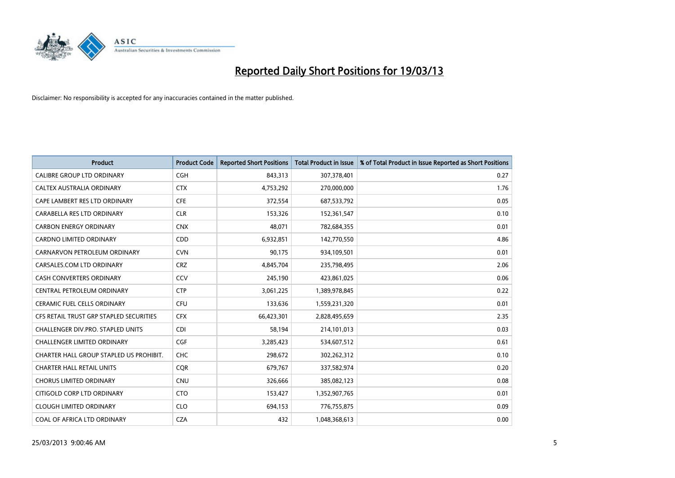

| <b>Product</b>                          | <b>Product Code</b> | <b>Reported Short Positions</b> | <b>Total Product in Issue</b> | % of Total Product in Issue Reported as Short Positions |
|-----------------------------------------|---------------------|---------------------------------|-------------------------------|---------------------------------------------------------|
| <b>CALIBRE GROUP LTD ORDINARY</b>       | <b>CGH</b>          | 843,313                         | 307,378,401                   | 0.27                                                    |
| CALTEX AUSTRALIA ORDINARY               | <b>CTX</b>          | 4,753,292                       | 270,000,000                   | 1.76                                                    |
| CAPE LAMBERT RES LTD ORDINARY           | <b>CFE</b>          | 372,554                         | 687,533,792                   | 0.05                                                    |
| CARABELLA RES LTD ORDINARY              | <b>CLR</b>          | 153,326                         | 152,361,547                   | 0.10                                                    |
| <b>CARBON ENERGY ORDINARY</b>           | <b>CNX</b>          | 48,071                          | 782,684,355                   | 0.01                                                    |
| <b>CARDNO LIMITED ORDINARY</b>          | CDD                 | 6,932,851                       | 142,770,550                   | 4.86                                                    |
| CARNARVON PETROLEUM ORDINARY            | <b>CVN</b>          | 90,175                          | 934,109,501                   | 0.01                                                    |
| CARSALES.COM LTD ORDINARY               | <b>CRZ</b>          | 4,845,704                       | 235,798,495                   | 2.06                                                    |
| <b>CASH CONVERTERS ORDINARY</b>         | CCV                 | 245,190                         | 423,861,025                   | 0.06                                                    |
| CENTRAL PETROLEUM ORDINARY              | <b>CTP</b>          | 3,061,225                       | 1,389,978,845                 | 0.22                                                    |
| CERAMIC FUEL CELLS ORDINARY             | <b>CFU</b>          | 133,636                         | 1,559,231,320                 | 0.01                                                    |
| CFS RETAIL TRUST GRP STAPLED SECURITIES | <b>CFX</b>          | 66,423,301                      | 2,828,495,659                 | 2.35                                                    |
| CHALLENGER DIV.PRO. STAPLED UNITS       | <b>CDI</b>          | 58,194                          | 214,101,013                   | 0.03                                                    |
| <b>CHALLENGER LIMITED ORDINARY</b>      | <b>CGF</b>          | 3,285,423                       | 534,607,512                   | 0.61                                                    |
| CHARTER HALL GROUP STAPLED US PROHIBIT. | <b>CHC</b>          | 298,672                         | 302,262,312                   | 0.10                                                    |
| <b>CHARTER HALL RETAIL UNITS</b>        | <b>COR</b>          | 679,767                         | 337,582,974                   | 0.20                                                    |
| <b>CHORUS LIMITED ORDINARY</b>          | <b>CNU</b>          | 326,666                         | 385,082,123                   | 0.08                                                    |
| CITIGOLD CORP LTD ORDINARY              | <b>CTO</b>          | 153,427                         | 1,352,907,765                 | 0.01                                                    |
| <b>CLOUGH LIMITED ORDINARY</b>          | <b>CLO</b>          | 694,153                         | 776,755,875                   | 0.09                                                    |
| COAL OF AFRICA LTD ORDINARY             | <b>CZA</b>          | 432                             | 1,048,368,613                 | 0.00                                                    |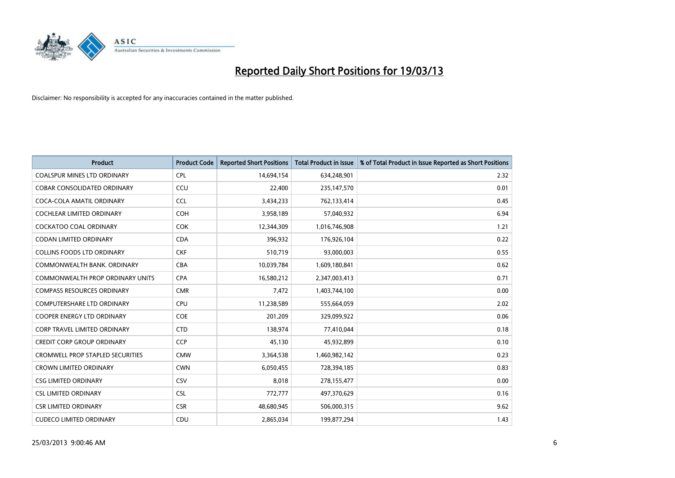

| <b>Product</b>                          | <b>Product Code</b> | <b>Reported Short Positions</b> | <b>Total Product in Issue</b> | % of Total Product in Issue Reported as Short Positions |
|-----------------------------------------|---------------------|---------------------------------|-------------------------------|---------------------------------------------------------|
| <b>COALSPUR MINES LTD ORDINARY</b>      | <b>CPL</b>          | 14,694,154                      | 634,248,901                   | 2.32                                                    |
| COBAR CONSOLIDATED ORDINARY             | CCU                 | 22,400                          | 235,147,570                   | 0.01                                                    |
| COCA-COLA AMATIL ORDINARY               | <b>CCL</b>          | 3,434,233                       | 762,133,414                   | 0.45                                                    |
| COCHLEAR LIMITED ORDINARY               | <b>COH</b>          | 3,958,189                       | 57,040,932                    | 6.94                                                    |
| <b>COCKATOO COAL ORDINARY</b>           | <b>COK</b>          | 12,344,309                      | 1,016,746,908                 | 1.21                                                    |
| CODAN LIMITED ORDINARY                  | <b>CDA</b>          | 396,932                         | 176,926,104                   | 0.22                                                    |
| <b>COLLINS FOODS LTD ORDINARY</b>       | <b>CKF</b>          | 510,719                         | 93,000,003                    | 0.55                                                    |
| COMMONWEALTH BANK, ORDINARY             | <b>CBA</b>          | 10,039,784                      | 1,609,180,841                 | 0.62                                                    |
| <b>COMMONWEALTH PROP ORDINARY UNITS</b> | <b>CPA</b>          | 16,580,212                      | 2,347,003,413                 | 0.71                                                    |
| <b>COMPASS RESOURCES ORDINARY</b>       | <b>CMR</b>          | 7,472                           | 1,403,744,100                 | 0.00                                                    |
| <b>COMPUTERSHARE LTD ORDINARY</b>       | <b>CPU</b>          | 11,238,589                      | 555,664,059                   | 2.02                                                    |
| COOPER ENERGY LTD ORDINARY              | <b>COE</b>          | 201,209                         | 329,099,922                   | 0.06                                                    |
| <b>CORP TRAVEL LIMITED ORDINARY</b>     | <b>CTD</b>          | 138,974                         | 77,410,044                    | 0.18                                                    |
| <b>CREDIT CORP GROUP ORDINARY</b>       | <b>CCP</b>          | 45,130                          | 45,932,899                    | 0.10                                                    |
| <b>CROMWELL PROP STAPLED SECURITIES</b> | <b>CMW</b>          | 3,364,538                       | 1,460,982,142                 | 0.23                                                    |
| <b>CROWN LIMITED ORDINARY</b>           | <b>CWN</b>          | 6,050,455                       | 728,394,185                   | 0.83                                                    |
| <b>CSG LIMITED ORDINARY</b>             | CSV                 | 8,018                           | 278,155,477                   | 0.00                                                    |
| <b>CSL LIMITED ORDINARY</b>             | <b>CSL</b>          | 772,777                         | 497,370,629                   | 0.16                                                    |
| <b>CSR LIMITED ORDINARY</b>             | <b>CSR</b>          | 48,680,945                      | 506,000,315                   | 9.62                                                    |
| <b>CUDECO LIMITED ORDINARY</b>          | CDU                 | 2,865,034                       | 199,877,294                   | 1.43                                                    |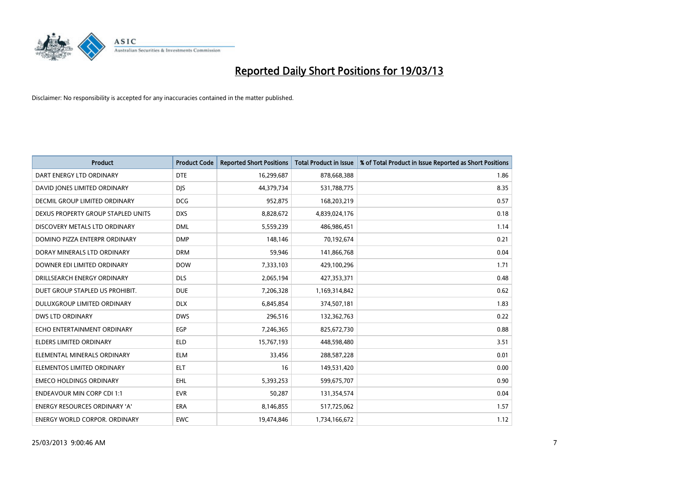

| <b>Product</b>                       | <b>Product Code</b> | <b>Reported Short Positions</b> | <b>Total Product in Issue</b> | % of Total Product in Issue Reported as Short Positions |
|--------------------------------------|---------------------|---------------------------------|-------------------------------|---------------------------------------------------------|
| DART ENERGY LTD ORDINARY             | <b>DTE</b>          | 16,299,687                      | 878,668,388                   | 1.86                                                    |
| DAVID JONES LIMITED ORDINARY         | <b>DIS</b>          | 44,379,734                      | 531,788,775                   | 8.35                                                    |
| <b>DECMIL GROUP LIMITED ORDINARY</b> | <b>DCG</b>          | 952,875                         | 168,203,219                   | 0.57                                                    |
| DEXUS PROPERTY GROUP STAPLED UNITS   | <b>DXS</b>          | 8,828,672                       | 4,839,024,176                 | 0.18                                                    |
| DISCOVERY METALS LTD ORDINARY        | <b>DML</b>          | 5,559,239                       | 486,986,451                   | 1.14                                                    |
| DOMINO PIZZA ENTERPR ORDINARY        | <b>DMP</b>          | 148,146                         | 70,192,674                    | 0.21                                                    |
| DORAY MINERALS LTD ORDINARY          | <b>DRM</b>          | 59,946                          | 141,866,768                   | 0.04                                                    |
| DOWNER EDI LIMITED ORDINARY          | <b>DOW</b>          | 7,333,103                       | 429,100,296                   | 1.71                                                    |
| DRILLSEARCH ENERGY ORDINARY          | <b>DLS</b>          | 2,065,194                       | 427,353,371                   | 0.48                                                    |
| DUET GROUP STAPLED US PROHIBIT.      | <b>DUE</b>          | 7,206,328                       | 1,169,314,842                 | 0.62                                                    |
| DULUXGROUP LIMITED ORDINARY          | <b>DLX</b>          | 6,845,854                       | 374,507,181                   | 1.83                                                    |
| <b>DWS LTD ORDINARY</b>              | <b>DWS</b>          | 296,516                         | 132,362,763                   | 0.22                                                    |
| ECHO ENTERTAINMENT ORDINARY          | EGP                 | 7,246,365                       | 825,672,730                   | 0.88                                                    |
| <b>ELDERS LIMITED ORDINARY</b>       | <b>ELD</b>          | 15,767,193                      | 448,598,480                   | 3.51                                                    |
| ELEMENTAL MINERALS ORDINARY          | <b>ELM</b>          | 33,456                          | 288,587,228                   | 0.01                                                    |
| ELEMENTOS LIMITED ORDINARY           | <b>ELT</b>          | 16                              | 149,531,420                   | 0.00                                                    |
| <b>EMECO HOLDINGS ORDINARY</b>       | <b>EHL</b>          | 5,393,253                       | 599,675,707                   | 0.90                                                    |
| <b>ENDEAVOUR MIN CORP CDI 1:1</b>    | <b>EVR</b>          | 50,287                          | 131,354,574                   | 0.04                                                    |
| <b>ENERGY RESOURCES ORDINARY 'A'</b> | <b>ERA</b>          | 8,146,855                       | 517,725,062                   | 1.57                                                    |
| ENERGY WORLD CORPOR, ORDINARY        | <b>EWC</b>          | 19,474,846                      | 1,734,166,672                 | 1.12                                                    |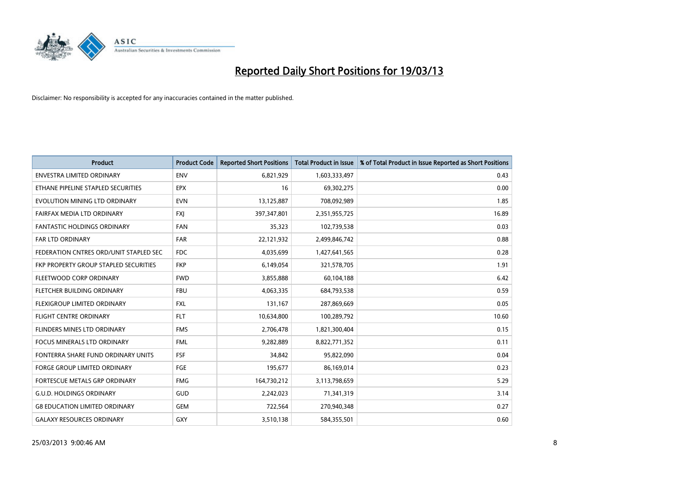

| <b>Product</b>                         | <b>Product Code</b> | <b>Reported Short Positions</b> | <b>Total Product in Issue</b> | % of Total Product in Issue Reported as Short Positions |
|----------------------------------------|---------------------|---------------------------------|-------------------------------|---------------------------------------------------------|
| <b>ENVESTRA LIMITED ORDINARY</b>       | <b>ENV</b>          | 6,821,929                       | 1,603,333,497                 | 0.43                                                    |
| ETHANE PIPELINE STAPLED SECURITIES     | <b>EPX</b>          | 16                              | 69,302,275                    | 0.00                                                    |
| EVOLUTION MINING LTD ORDINARY          | <b>EVN</b>          | 13,125,887                      | 708,092,989                   | 1.85                                                    |
| FAIRFAX MEDIA LTD ORDINARY             | <b>FXI</b>          | 397,347,801                     | 2,351,955,725                 | 16.89                                                   |
| <b>FANTASTIC HOLDINGS ORDINARY</b>     | <b>FAN</b>          | 35,323                          | 102,739,538                   | 0.03                                                    |
| FAR LTD ORDINARY                       | <b>FAR</b>          | 22,121,932                      | 2,499,846,742                 | 0.88                                                    |
| FEDERATION CNTRES ORD/UNIT STAPLED SEC | <b>FDC</b>          | 4,035,699                       | 1,427,641,565                 | 0.28                                                    |
| FKP PROPERTY GROUP STAPLED SECURITIES  | <b>FKP</b>          | 6,149,054                       | 321,578,705                   | 1.91                                                    |
| FLEETWOOD CORP ORDINARY                | <b>FWD</b>          | 3,855,888                       | 60,104,188                    | 6.42                                                    |
| FLETCHER BUILDING ORDINARY             | <b>FBU</b>          | 4,063,335                       | 684,793,538                   | 0.59                                                    |
| FLEXIGROUP LIMITED ORDINARY            | <b>FXL</b>          | 131,167                         | 287,869,669                   | 0.05                                                    |
| <b>FLIGHT CENTRE ORDINARY</b>          | <b>FLT</b>          | 10,634,800                      | 100,289,792                   | 10.60                                                   |
| <b>FLINDERS MINES LTD ORDINARY</b>     | <b>FMS</b>          | 2,706,478                       | 1,821,300,404                 | 0.15                                                    |
| <b>FOCUS MINERALS LTD ORDINARY</b>     | <b>FML</b>          | 9,282,889                       | 8,822,771,352                 | 0.11                                                    |
| FONTERRA SHARE FUND ORDINARY UNITS     | <b>FSF</b>          | 34,842                          | 95,822,090                    | 0.04                                                    |
| FORGE GROUP LIMITED ORDINARY           | FGE                 | 195,677                         | 86,169,014                    | 0.23                                                    |
| FORTESCUE METALS GRP ORDINARY          | <b>FMG</b>          | 164,730,212                     | 3,113,798,659                 | 5.29                                                    |
| <b>G.U.D. HOLDINGS ORDINARY</b>        | GUD                 | 2,242,023                       | 71,341,319                    | 3.14                                                    |
| <b>G8 EDUCATION LIMITED ORDINARY</b>   | <b>GEM</b>          | 722,564                         | 270,940,348                   | 0.27                                                    |
| <b>GALAXY RESOURCES ORDINARY</b>       | <b>GXY</b>          | 3,510,138                       | 584,355,501                   | 0.60                                                    |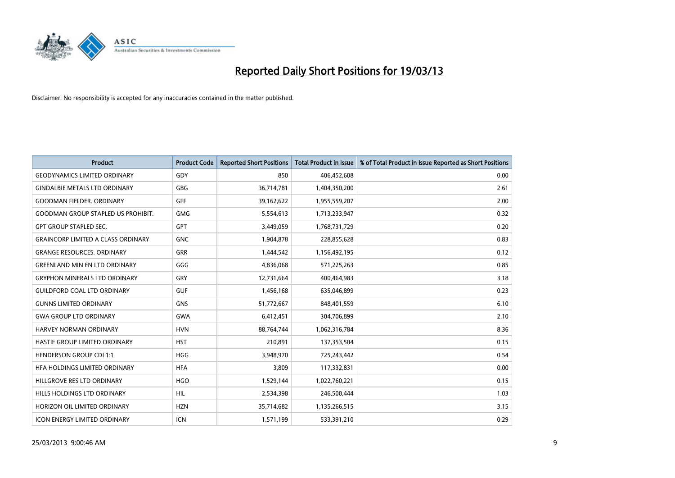

| <b>Product</b>                            | <b>Product Code</b> | <b>Reported Short Positions</b> | <b>Total Product in Issue</b> | % of Total Product in Issue Reported as Short Positions |
|-------------------------------------------|---------------------|---------------------------------|-------------------------------|---------------------------------------------------------|
| <b>GEODYNAMICS LIMITED ORDINARY</b>       | GDY                 | 850                             | 406,452,608                   | 0.00                                                    |
| <b>GINDALBIE METALS LTD ORDINARY</b>      | <b>GBG</b>          | 36,714,781                      | 1,404,350,200                 | 2.61                                                    |
| <b>GOODMAN FIELDER, ORDINARY</b>          | GFF                 | 39,162,622                      | 1,955,559,207                 | 2.00                                                    |
| <b>GOODMAN GROUP STAPLED US PROHIBIT.</b> | <b>GMG</b>          | 5,554,613                       | 1,713,233,947                 | 0.32                                                    |
| <b>GPT GROUP STAPLED SEC.</b>             | <b>GPT</b>          | 3,449,059                       | 1,768,731,729                 | 0.20                                                    |
| <b>GRAINCORP LIMITED A CLASS ORDINARY</b> | <b>GNC</b>          | 1,904,878                       | 228,855,628                   | 0.83                                                    |
| <b>GRANGE RESOURCES. ORDINARY</b>         | <b>GRR</b>          | 1,444,542                       | 1,156,492,195                 | 0.12                                                    |
| <b>GREENLAND MIN EN LTD ORDINARY</b>      | GGG                 | 4,836,068                       | 571,225,263                   | 0.85                                                    |
| <b>GRYPHON MINERALS LTD ORDINARY</b>      | GRY                 | 12,731,664                      | 400,464,983                   | 3.18                                                    |
| <b>GUILDFORD COAL LTD ORDINARY</b>        | <b>GUF</b>          | 1,456,168                       | 635,046,899                   | 0.23                                                    |
| <b>GUNNS LIMITED ORDINARY</b>             | <b>GNS</b>          | 51,772,667                      | 848,401,559                   | 6.10                                                    |
| <b>GWA GROUP LTD ORDINARY</b>             | <b>GWA</b>          | 6,412,451                       | 304,706,899                   | 2.10                                                    |
| HARVEY NORMAN ORDINARY                    | <b>HVN</b>          | 88,764,744                      | 1,062,316,784                 | 8.36                                                    |
| HASTIE GROUP LIMITED ORDINARY             | <b>HST</b>          | 210,891                         | 137,353,504                   | 0.15                                                    |
| <b>HENDERSON GROUP CDI 1:1</b>            | <b>HGG</b>          | 3,948,970                       | 725,243,442                   | 0.54                                                    |
| HFA HOLDINGS LIMITED ORDINARY             | <b>HFA</b>          | 3,809                           | 117,332,831                   | 0.00                                                    |
| HILLGROVE RES LTD ORDINARY                | <b>HGO</b>          | 1,529,144                       | 1,022,760,221                 | 0.15                                                    |
| HILLS HOLDINGS LTD ORDINARY               | <b>HIL</b>          | 2,534,398                       | 246,500,444                   | 1.03                                                    |
| HORIZON OIL LIMITED ORDINARY              | <b>HZN</b>          | 35,714,682                      | 1,135,266,515                 | 3.15                                                    |
| ICON ENERGY LIMITED ORDINARY              | <b>ICN</b>          | 1,571,199                       | 533,391,210                   | 0.29                                                    |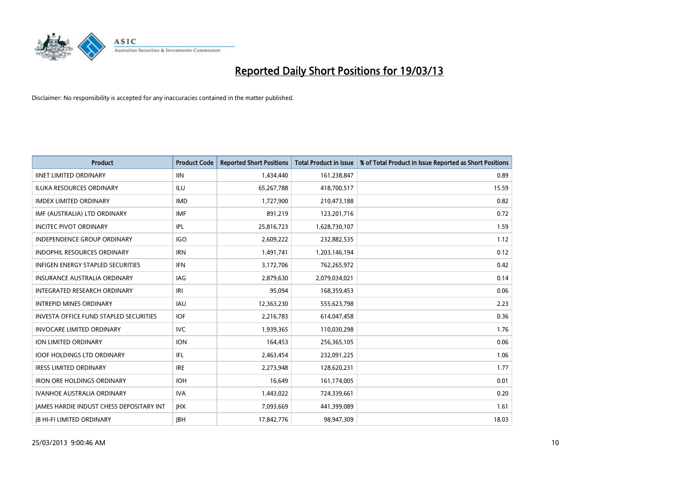

| <b>Product</b>                                  | <b>Product Code</b> | <b>Reported Short Positions</b> | <b>Total Product in Issue</b> | % of Total Product in Issue Reported as Short Positions |
|-------------------------------------------------|---------------------|---------------------------------|-------------------------------|---------------------------------------------------------|
| <b>IINET LIMITED ORDINARY</b>                   | <b>IIN</b>          | 1,434,440                       | 161,238,847                   | 0.89                                                    |
| ILUKA RESOURCES ORDINARY                        | ILU                 | 65,267,788                      | 418,700,517                   | 15.59                                                   |
| <b>IMDEX LIMITED ORDINARY</b>                   | <b>IMD</b>          | 1,727,900                       | 210,473,188                   | 0.82                                                    |
| IMF (AUSTRALIA) LTD ORDINARY                    | <b>IMF</b>          | 891,219                         | 123,201,716                   | 0.72                                                    |
| <b>INCITEC PIVOT ORDINARY</b>                   | IPL                 | 25,816,723                      | 1,628,730,107                 | 1.59                                                    |
| <b>INDEPENDENCE GROUP ORDINARY</b>              | IGO                 | 2,609,222                       | 232,882,535                   | 1.12                                                    |
| INDOPHIL RESOURCES ORDINARY                     | <b>IRN</b>          | 1,491,741                       | 1,203,146,194                 | 0.12                                                    |
| INFIGEN ENERGY STAPLED SECURITIES               | <b>IFN</b>          | 3,172,706                       | 762,265,972                   | 0.42                                                    |
| INSURANCE AUSTRALIA ORDINARY                    | IAG                 | 2,879,630                       | 2,079,034,021                 | 0.14                                                    |
| <b>INTEGRATED RESEARCH ORDINARY</b>             | IRI                 | 95,094                          | 168,359,453                   | 0.06                                                    |
| <b>INTREPID MINES ORDINARY</b>                  | <b>IAU</b>          | 12,363,230                      | 555,623,798                   | 2.23                                                    |
| INVESTA OFFICE FUND STAPLED SECURITIES          | <b>IOF</b>          | 2,216,783                       | 614,047,458                   | 0.36                                                    |
| <b>INVOCARE LIMITED ORDINARY</b>                | <b>IVC</b>          | 1,939,365                       | 110,030,298                   | 1.76                                                    |
| <b>ION LIMITED ORDINARY</b>                     | <b>ION</b>          | 164,453                         | 256,365,105                   | 0.06                                                    |
| <b>IOOF HOLDINGS LTD ORDINARY</b>               | IFL.                | 2,463,454                       | 232,091,225                   | 1.06                                                    |
| <b>IRESS LIMITED ORDINARY</b>                   | <b>IRE</b>          | 2,273,948                       | 128,620,231                   | 1.77                                                    |
| <b>IRON ORE HOLDINGS ORDINARY</b>               | <b>IOH</b>          | 16,649                          | 161,174,005                   | 0.01                                                    |
| IVANHOE AUSTRALIA ORDINARY                      | <b>IVA</b>          | 1,443,022                       | 724,339,661                   | 0.20                                                    |
| <b>JAMES HARDIE INDUST CHESS DEPOSITARY INT</b> | <b>IHX</b>          | 7,093,669                       | 441,399,089                   | 1.61                                                    |
| <b>IB HI-FI LIMITED ORDINARY</b>                | <b>IBH</b>          | 17,842,776                      | 98,947,309                    | 18.03                                                   |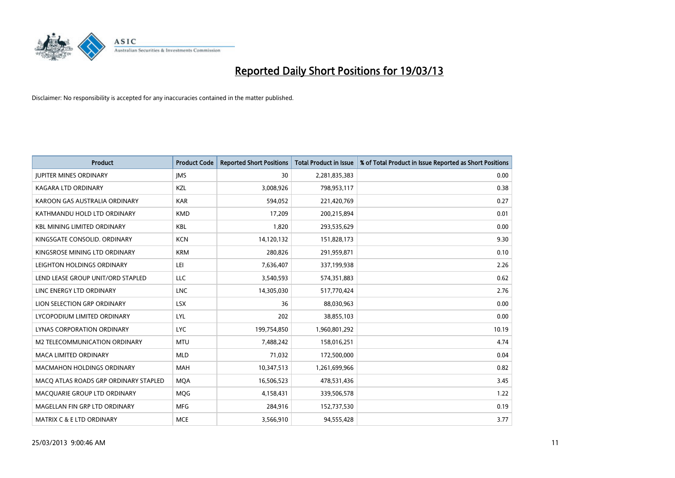

| <b>Product</b>                        | <b>Product Code</b> | <b>Reported Short Positions</b> | <b>Total Product in Issue</b> | % of Total Product in Issue Reported as Short Positions |
|---------------------------------------|---------------------|---------------------------------|-------------------------------|---------------------------------------------------------|
| <b>JUPITER MINES ORDINARY</b>         | <b>IMS</b>          | 30                              | 2,281,835,383                 | 0.00                                                    |
| KAGARA LTD ORDINARY                   | KZL                 | 3,008,926                       | 798,953,117                   | 0.38                                                    |
| KAROON GAS AUSTRALIA ORDINARY         | <b>KAR</b>          | 594,052                         | 221,420,769                   | 0.27                                                    |
| KATHMANDU HOLD LTD ORDINARY           | <b>KMD</b>          | 17,209                          | 200,215,894                   | 0.01                                                    |
| <b>KBL MINING LIMITED ORDINARY</b>    | <b>KBL</b>          | 1,820                           | 293,535,629                   | 0.00                                                    |
| KINGSGATE CONSOLID. ORDINARY          | <b>KCN</b>          | 14,120,132                      | 151,828,173                   | 9.30                                                    |
| KINGSROSE MINING LTD ORDINARY         | <b>KRM</b>          | 280,826                         | 291,959,871                   | 0.10                                                    |
| LEIGHTON HOLDINGS ORDINARY            | LEI                 | 7,636,407                       | 337,199,938                   | 2.26                                                    |
| LEND LEASE GROUP UNIT/ORD STAPLED     | LLC                 | 3,540,593                       | 574,351,883                   | 0.62                                                    |
| LINC ENERGY LTD ORDINARY              | <b>LNC</b>          | 14,305,030                      | 517,770,424                   | 2.76                                                    |
| LION SELECTION GRP ORDINARY           | <b>LSX</b>          | 36                              | 88,030,963                    | 0.00                                                    |
| LYCOPODIUM LIMITED ORDINARY           | LYL                 | 202                             | 38,855,103                    | 0.00                                                    |
| <b>LYNAS CORPORATION ORDINARY</b>     | <b>LYC</b>          | 199,754,850                     | 1,960,801,292                 | 10.19                                                   |
| M2 TELECOMMUNICATION ORDINARY         | <b>MTU</b>          | 7,488,242                       | 158,016,251                   | 4.74                                                    |
| <b>MACA LIMITED ORDINARY</b>          | <b>MLD</b>          | 71,032                          | 172,500,000                   | 0.04                                                    |
| <b>MACMAHON HOLDINGS ORDINARY</b>     | <b>MAH</b>          | 10,347,513                      | 1,261,699,966                 | 0.82                                                    |
| MACO ATLAS ROADS GRP ORDINARY STAPLED | <b>MQA</b>          | 16,506,523                      | 478,531,436                   | 3.45                                                    |
| MACQUARIE GROUP LTD ORDINARY          | MQG                 | 4,158,431                       | 339,506,578                   | 1.22                                                    |
| MAGELLAN FIN GRP LTD ORDINARY         | <b>MFG</b>          | 284,916                         | 152,737,530                   | 0.19                                                    |
| MATRIX C & E LTD ORDINARY             | <b>MCE</b>          | 3,566,910                       | 94,555,428                    | 3.77                                                    |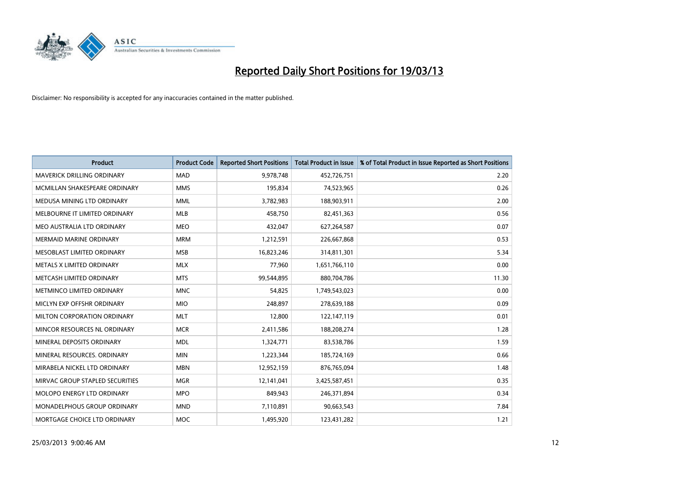

| <b>Product</b>                     | <b>Product Code</b> | <b>Reported Short Positions</b> | <b>Total Product in Issue</b> | % of Total Product in Issue Reported as Short Positions |
|------------------------------------|---------------------|---------------------------------|-------------------------------|---------------------------------------------------------|
| <b>MAVERICK DRILLING ORDINARY</b>  | <b>MAD</b>          | 9,978,748                       | 452,726,751                   | 2.20                                                    |
| MCMILLAN SHAKESPEARE ORDINARY      | <b>MMS</b>          | 195,834                         | 74,523,965                    | 0.26                                                    |
| MEDUSA MINING LTD ORDINARY         | <b>MML</b>          | 3,782,983                       | 188,903,911                   | 2.00                                                    |
| MELBOURNE IT LIMITED ORDINARY      | <b>MLB</b>          | 458,750                         | 82,451,363                    | 0.56                                                    |
| MEO AUSTRALIA LTD ORDINARY         | <b>MEO</b>          | 432,047                         | 627,264,587                   | 0.07                                                    |
| <b>MERMAID MARINE ORDINARY</b>     | <b>MRM</b>          | 1,212,591                       | 226,667,868                   | 0.53                                                    |
| <b>MESOBLAST LIMITED ORDINARY</b>  | <b>MSB</b>          | 16,823,246                      | 314,811,301                   | 5.34                                                    |
| METALS X LIMITED ORDINARY          | <b>MLX</b>          | 77,960                          | 1,651,766,110                 | 0.00                                                    |
| METCASH LIMITED ORDINARY           | <b>MTS</b>          | 99,544,895                      | 880,704,786                   | 11.30                                                   |
| METMINCO LIMITED ORDINARY          | <b>MNC</b>          | 54,825                          | 1,749,543,023                 | 0.00                                                    |
| MICLYN EXP OFFSHR ORDINARY         | <b>MIO</b>          | 248,897                         | 278,639,188                   | 0.09                                                    |
| MILTON CORPORATION ORDINARY        | <b>MLT</b>          | 12,800                          | 122,147,119                   | 0.01                                                    |
| MINCOR RESOURCES NL ORDINARY       | <b>MCR</b>          | 2,411,586                       | 188,208,274                   | 1.28                                                    |
| MINERAL DEPOSITS ORDINARY          | <b>MDL</b>          | 1,324,771                       | 83,538,786                    | 1.59                                                    |
| MINERAL RESOURCES, ORDINARY        | <b>MIN</b>          | 1,223,344                       | 185,724,169                   | 0.66                                                    |
| MIRABELA NICKEL LTD ORDINARY       | <b>MBN</b>          | 12,952,159                      | 876,765,094                   | 1.48                                                    |
| MIRVAC GROUP STAPLED SECURITIES    | <b>MGR</b>          | 12,141,041                      | 3,425,587,451                 | 0.35                                                    |
| MOLOPO ENERGY LTD ORDINARY         | <b>MPO</b>          | 849,943                         | 246,371,894                   | 0.34                                                    |
| <b>MONADELPHOUS GROUP ORDINARY</b> | <b>MND</b>          | 7,110,891                       | 90,663,543                    | 7.84                                                    |
| MORTGAGE CHOICE LTD ORDINARY       | <b>MOC</b>          | 1,495,920                       | 123,431,282                   | 1.21                                                    |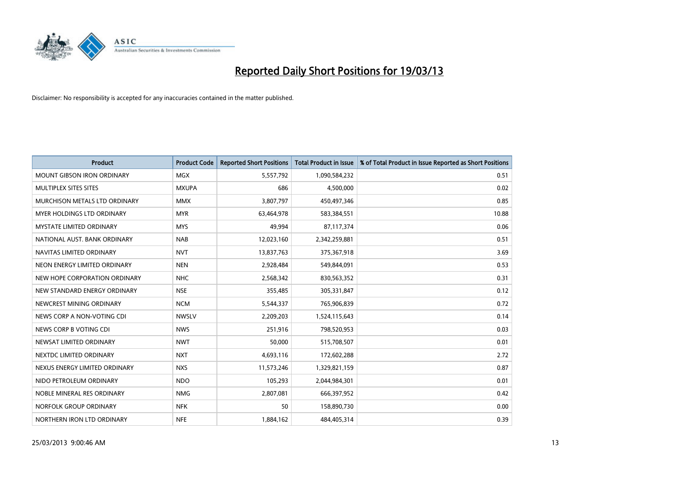

| <b>Product</b>                    | <b>Product Code</b> | <b>Reported Short Positions</b> | <b>Total Product in Issue</b> | % of Total Product in Issue Reported as Short Positions |
|-----------------------------------|---------------------|---------------------------------|-------------------------------|---------------------------------------------------------|
| <b>MOUNT GIBSON IRON ORDINARY</b> | <b>MGX</b>          | 5,557,792                       | 1,090,584,232                 | 0.51                                                    |
| MULTIPLEX SITES SITES             | <b>MXUPA</b>        | 686                             | 4,500,000                     | 0.02                                                    |
| MURCHISON METALS LTD ORDINARY     | <b>MMX</b>          | 3,807,797                       | 450,497,346                   | 0.85                                                    |
| <b>MYER HOLDINGS LTD ORDINARY</b> | <b>MYR</b>          | 63,464,978                      | 583,384,551                   | 10.88                                                   |
| <b>MYSTATE LIMITED ORDINARY</b>   | <b>MYS</b>          | 49,994                          | 87,117,374                    | 0.06                                                    |
| NATIONAL AUST, BANK ORDINARY      | <b>NAB</b>          | 12,023,160                      | 2,342,259,881                 | 0.51                                                    |
| NAVITAS LIMITED ORDINARY          | <b>NVT</b>          | 13,837,763                      | 375,367,918                   | 3.69                                                    |
| NEON ENERGY LIMITED ORDINARY      | <b>NEN</b>          | 2,928,484                       | 549,844,091                   | 0.53                                                    |
| NEW HOPE CORPORATION ORDINARY     | <b>NHC</b>          | 2,568,342                       | 830,563,352                   | 0.31                                                    |
| NEW STANDARD ENERGY ORDINARY      | <b>NSE</b>          | 355,485                         | 305,331,847                   | 0.12                                                    |
| NEWCREST MINING ORDINARY          | <b>NCM</b>          | 5,544,337                       | 765,906,839                   | 0.72                                                    |
| NEWS CORP A NON-VOTING CDI        | <b>NWSLV</b>        | 2,209,203                       | 1,524,115,643                 | 0.14                                                    |
| NEWS CORP B VOTING CDI            | <b>NWS</b>          | 251,916                         | 798,520,953                   | 0.03                                                    |
| NEWSAT LIMITED ORDINARY           | <b>NWT</b>          | 50,000                          | 515,708,507                   | 0.01                                                    |
| NEXTDC LIMITED ORDINARY           | <b>NXT</b>          | 4,693,116                       | 172,602,288                   | 2.72                                                    |
| NEXUS ENERGY LIMITED ORDINARY     | <b>NXS</b>          | 11,573,246                      | 1,329,821,159                 | 0.87                                                    |
| NIDO PETROLEUM ORDINARY           | <b>NDO</b>          | 105,293                         | 2,044,984,301                 | 0.01                                                    |
| NOBLE MINERAL RES ORDINARY        | <b>NMG</b>          | 2,807,081                       | 666,397,952                   | 0.42                                                    |
| NORFOLK GROUP ORDINARY            | <b>NFK</b>          | 50                              | 158,890,730                   | 0.00                                                    |
| NORTHERN IRON LTD ORDINARY        | <b>NFE</b>          | 1,884,162                       | 484,405,314                   | 0.39                                                    |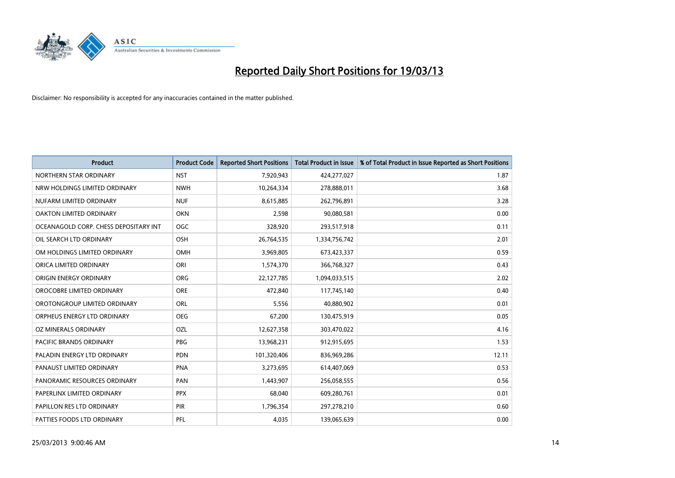

| <b>Product</b>                        | <b>Product Code</b> | <b>Reported Short Positions</b> | <b>Total Product in Issue</b> | % of Total Product in Issue Reported as Short Positions |
|---------------------------------------|---------------------|---------------------------------|-------------------------------|---------------------------------------------------------|
| NORTHERN STAR ORDINARY                | <b>NST</b>          | 7,920,943                       | 424,277,027                   | 1.87                                                    |
| NRW HOLDINGS LIMITED ORDINARY         | <b>NWH</b>          | 10,264,334                      | 278,888,011                   | 3.68                                                    |
| NUFARM LIMITED ORDINARY               | <b>NUF</b>          | 8,615,885                       | 262,796,891                   | 3.28                                                    |
| OAKTON LIMITED ORDINARY               | <b>OKN</b>          | 2,598                           | 90,080,581                    | 0.00                                                    |
| OCEANAGOLD CORP. CHESS DEPOSITARY INT | <b>OGC</b>          | 328,920                         | 293,517,918                   | 0.11                                                    |
| OIL SEARCH LTD ORDINARY               | OSH                 | 26,764,535                      | 1,334,756,742                 | 2.01                                                    |
| OM HOLDINGS LIMITED ORDINARY          | <b>OMH</b>          | 3,969,805                       | 673,423,337                   | 0.59                                                    |
| ORICA LIMITED ORDINARY                | ORI                 | 1,574,370                       | 366,768,327                   | 0.43                                                    |
| ORIGIN ENERGY ORDINARY                | <b>ORG</b>          | 22,127,785                      | 1,094,033,515                 | 2.02                                                    |
| OROCOBRE LIMITED ORDINARY             | <b>ORE</b>          | 472,840                         | 117,745,140                   | 0.40                                                    |
| OROTONGROUP LIMITED ORDINARY          | ORL                 | 5,556                           | 40,880,902                    | 0.01                                                    |
| ORPHEUS ENERGY LTD ORDINARY           | <b>OEG</b>          | 67,200                          | 130,475,919                   | 0.05                                                    |
| OZ MINERALS ORDINARY                  | OZL                 | 12,627,358                      | 303,470,022                   | 4.16                                                    |
| <b>PACIFIC BRANDS ORDINARY</b>        | <b>PBG</b>          | 13,968,231                      | 912,915,695                   | 1.53                                                    |
| PALADIN ENERGY LTD ORDINARY           | <b>PDN</b>          | 101,320,406                     | 836,969,286                   | 12.11                                                   |
| PANAUST LIMITED ORDINARY              | <b>PNA</b>          | 3,273,695                       | 614,407,069                   | 0.53                                                    |
| PANORAMIC RESOURCES ORDINARY          | PAN                 | 1,443,907                       | 256,058,555                   | 0.56                                                    |
| PAPERLINX LIMITED ORDINARY            | <b>PPX</b>          | 68,040                          | 609,280,761                   | 0.01                                                    |
| PAPILLON RES LTD ORDINARY             | <b>PIR</b>          | 1,796,354                       | 297,278,210                   | 0.60                                                    |
| PATTIES FOODS LTD ORDINARY            | PFL                 | 4,035                           | 139,065,639                   | 0.00                                                    |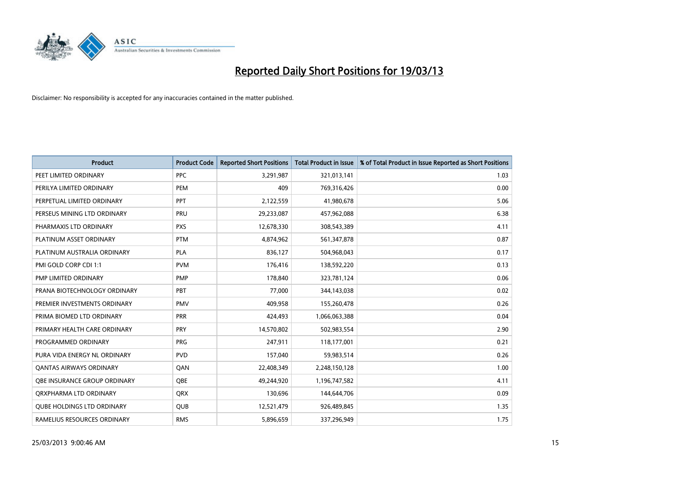

| <b>Product</b>                      | <b>Product Code</b> | <b>Reported Short Positions</b> | <b>Total Product in Issue</b> | % of Total Product in Issue Reported as Short Positions |
|-------------------------------------|---------------------|---------------------------------|-------------------------------|---------------------------------------------------------|
| PEET LIMITED ORDINARY               | <b>PPC</b>          | 3,291,987                       | 321,013,141                   | 1.03                                                    |
| PERILYA LIMITED ORDINARY            | PEM                 | 409                             | 769,316,426                   | 0.00                                                    |
| PERPETUAL LIMITED ORDINARY          | <b>PPT</b>          | 2,122,559                       | 41,980,678                    | 5.06                                                    |
| PERSEUS MINING LTD ORDINARY         | PRU                 | 29,233,087                      | 457,962,088                   | 6.38                                                    |
| PHARMAXIS LTD ORDINARY              | <b>PXS</b>          | 12,678,330                      | 308,543,389                   | 4.11                                                    |
| PLATINUM ASSET ORDINARY             | <b>PTM</b>          | 4,874,962                       | 561,347,878                   | 0.87                                                    |
| PLATINUM AUSTRALIA ORDINARY         | <b>PLA</b>          | 836,127                         | 504,968,043                   | 0.17                                                    |
| PMI GOLD CORP CDI 1:1               | <b>PVM</b>          | 176,416                         | 138,592,220                   | 0.13                                                    |
| PMP LIMITED ORDINARY                | <b>PMP</b>          | 178,840                         | 323,781,124                   | 0.06                                                    |
| PRANA BIOTECHNOLOGY ORDINARY        | PBT                 | 77,000                          | 344,143,038                   | 0.02                                                    |
| PREMIER INVESTMENTS ORDINARY        | <b>PMV</b>          | 409,958                         | 155,260,478                   | 0.26                                                    |
| PRIMA BIOMED LTD ORDINARY           | <b>PRR</b>          | 424,493                         | 1,066,063,388                 | 0.04                                                    |
| PRIMARY HEALTH CARE ORDINARY        | <b>PRY</b>          | 14,570,802                      | 502,983,554                   | 2.90                                                    |
| PROGRAMMED ORDINARY                 | <b>PRG</b>          | 247,911                         | 118,177,001                   | 0.21                                                    |
| PURA VIDA ENERGY NL ORDINARY        | <b>PVD</b>          | 157,040                         | 59,983,514                    | 0.26                                                    |
| <b>QANTAS AIRWAYS ORDINARY</b>      | QAN                 | 22,408,349                      | 2,248,150,128                 | 1.00                                                    |
| <b>OBE INSURANCE GROUP ORDINARY</b> | <b>OBE</b>          | 49,244,920                      | 1,196,747,582                 | 4.11                                                    |
| ORXPHARMA LTD ORDINARY              | <b>QRX</b>          | 130,696                         | 144,644,706                   | 0.09                                                    |
| <b>QUBE HOLDINGS LTD ORDINARY</b>   | <b>QUB</b>          | 12,521,479                      | 926,489,845                   | 1.35                                                    |
| RAMELIUS RESOURCES ORDINARY         | <b>RMS</b>          | 5,896,659                       | 337,296,949                   | 1.75                                                    |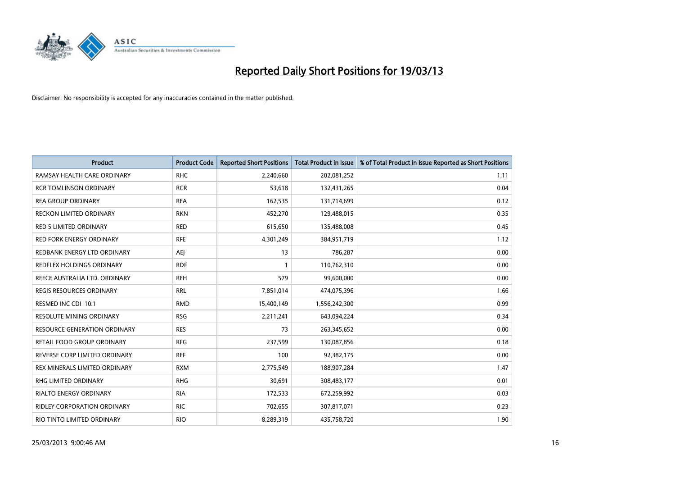

| <b>Product</b>                     | <b>Product Code</b> | <b>Reported Short Positions</b> | <b>Total Product in Issue</b> | % of Total Product in Issue Reported as Short Positions |
|------------------------------------|---------------------|---------------------------------|-------------------------------|---------------------------------------------------------|
| RAMSAY HEALTH CARE ORDINARY        | <b>RHC</b>          | 2,240,660                       | 202,081,252                   | 1.11                                                    |
| <b>RCR TOMLINSON ORDINARY</b>      | <b>RCR</b>          | 53,618                          | 132,431,265                   | 0.04                                                    |
| <b>REA GROUP ORDINARY</b>          | <b>REA</b>          | 162,535                         | 131,714,699                   | 0.12                                                    |
| RECKON LIMITED ORDINARY            | <b>RKN</b>          | 452,270                         | 129,488,015                   | 0.35                                                    |
| <b>RED 5 LIMITED ORDINARY</b>      | <b>RED</b>          | 615,650                         | 135,488,008                   | 0.45                                                    |
| <b>RED FORK ENERGY ORDINARY</b>    | <b>RFE</b>          | 4,301,249                       | 384,951,719                   | 1.12                                                    |
| REDBANK ENERGY LTD ORDINARY        | AEJ                 | 13                              | 786,287                       | 0.00                                                    |
| REDFLEX HOLDINGS ORDINARY          | <b>RDF</b>          |                                 | 110,762,310                   | 0.00                                                    |
| REECE AUSTRALIA LTD. ORDINARY      | <b>REH</b>          | 579                             | 99,600,000                    | 0.00                                                    |
| <b>REGIS RESOURCES ORDINARY</b>    | <b>RRL</b>          | 7,851,014                       | 474,075,396                   | 1.66                                                    |
| RESMED INC CDI 10:1                | <b>RMD</b>          | 15,400,149                      | 1,556,242,300                 | 0.99                                                    |
| <b>RESOLUTE MINING ORDINARY</b>    | <b>RSG</b>          | 2,211,241                       | 643,094,224                   | 0.34                                                    |
| RESOURCE GENERATION ORDINARY       | <b>RES</b>          | 73                              | 263,345,652                   | 0.00                                                    |
| RETAIL FOOD GROUP ORDINARY         | <b>RFG</b>          | 237,599                         | 130,087,856                   | 0.18                                                    |
| REVERSE CORP LIMITED ORDINARY      | <b>REF</b>          | 100                             | 92,382,175                    | 0.00                                                    |
| REX MINERALS LIMITED ORDINARY      | <b>RXM</b>          | 2,775,549                       | 188,907,284                   | 1.47                                                    |
| RHG LIMITED ORDINARY               | <b>RHG</b>          | 30,691                          | 308,483,177                   | 0.01                                                    |
| RIALTO ENERGY ORDINARY             | <b>RIA</b>          | 172,533                         | 672,259,992                   | 0.03                                                    |
| <b>RIDLEY CORPORATION ORDINARY</b> | <b>RIC</b>          | 702,655                         | 307,817,071                   | 0.23                                                    |
| RIO TINTO LIMITED ORDINARY         | <b>RIO</b>          | 8,289,319                       | 435,758,720                   | 1.90                                                    |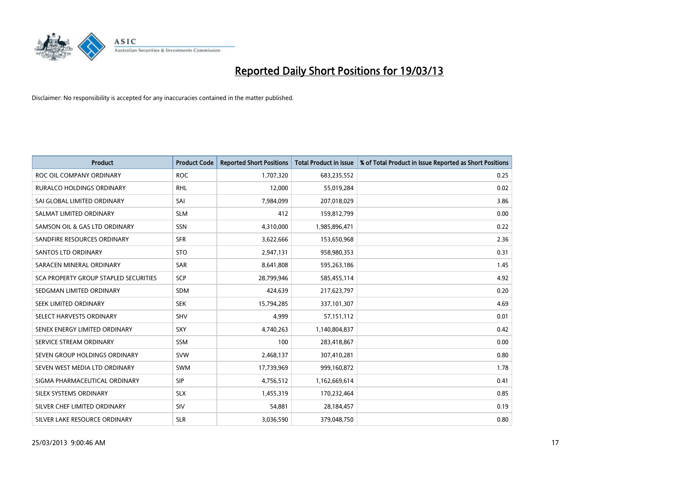

| <b>Product</b>                               | <b>Product Code</b> | <b>Reported Short Positions</b> | <b>Total Product in Issue</b> | % of Total Product in Issue Reported as Short Positions |
|----------------------------------------------|---------------------|---------------------------------|-------------------------------|---------------------------------------------------------|
| ROC OIL COMPANY ORDINARY                     | <b>ROC</b>          | 1,707,320                       | 683,235,552                   | 0.25                                                    |
| RURALCO HOLDINGS ORDINARY                    | <b>RHL</b>          | 12,000                          | 55,019,284                    | 0.02                                                    |
| SAI GLOBAL LIMITED ORDINARY                  | SAI                 | 7,984,099                       | 207,018,029                   | 3.86                                                    |
| SALMAT LIMITED ORDINARY                      | <b>SLM</b>          | 412                             | 159,812,799                   | 0.00                                                    |
| SAMSON OIL & GAS LTD ORDINARY                | SSN                 | 4,310,000                       | 1,985,896,471                 | 0.22                                                    |
| SANDFIRE RESOURCES ORDINARY                  | <b>SFR</b>          | 3,622,666                       | 153,650,968                   | 2.36                                                    |
| <b>SANTOS LTD ORDINARY</b>                   | <b>STO</b>          | 2,947,131                       | 958,980,353                   | 0.31                                                    |
| SARACEN MINERAL ORDINARY                     | SAR                 | 8,641,808                       | 595,263,186                   | 1.45                                                    |
| <b>SCA PROPERTY GROUP STAPLED SECURITIES</b> | <b>SCP</b>          | 28,799,946                      | 585,455,114                   | 4.92                                                    |
| SEDGMAN LIMITED ORDINARY                     | <b>SDM</b>          | 424,639                         | 217,623,797                   | 0.20                                                    |
| SEEK LIMITED ORDINARY                        | <b>SEK</b>          | 15,794,285                      | 337,101,307                   | 4.69                                                    |
| SELECT HARVESTS ORDINARY                     | SHV                 | 4,999                           | 57,151,112                    | 0.01                                                    |
| SENEX ENERGY LIMITED ORDINARY                | SXY                 | 4,740,263                       | 1,140,804,837                 | 0.42                                                    |
| SERVICE STREAM ORDINARY                      | SSM                 | 100                             | 283,418,867                   | 0.00                                                    |
| SEVEN GROUP HOLDINGS ORDINARY                | <b>SVW</b>          | 2,468,137                       | 307,410,281                   | 0.80                                                    |
| SEVEN WEST MEDIA LTD ORDINARY                | <b>SWM</b>          | 17,739,969                      | 999,160,872                   | 1.78                                                    |
| SIGMA PHARMACEUTICAL ORDINARY                | <b>SIP</b>          | 4,756,512                       | 1,162,669,614                 | 0.41                                                    |
| SILEX SYSTEMS ORDINARY                       | <b>SLX</b>          | 1,455,319                       | 170,232,464                   | 0.85                                                    |
| SILVER CHEF LIMITED ORDINARY                 | SIV                 | 54,881                          | 28,184,457                    | 0.19                                                    |
| SILVER LAKE RESOURCE ORDINARY                | <b>SLR</b>          | 3,036,590                       | 379,048,750                   | 0.80                                                    |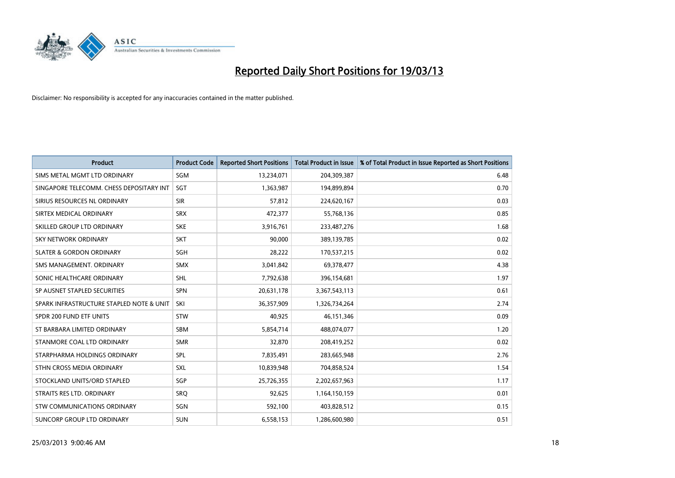

| <b>Product</b>                           | <b>Product Code</b> | <b>Reported Short Positions</b> | <b>Total Product in Issue</b> | % of Total Product in Issue Reported as Short Positions |
|------------------------------------------|---------------------|---------------------------------|-------------------------------|---------------------------------------------------------|
| SIMS METAL MGMT LTD ORDINARY             | SGM                 | 13,234,071                      | 204,309,387                   | 6.48                                                    |
| SINGAPORE TELECOMM. CHESS DEPOSITARY INT | SGT                 | 1,363,987                       | 194,899,894                   | 0.70                                                    |
| SIRIUS RESOURCES NL ORDINARY             | <b>SIR</b>          | 57,812                          | 224,620,167                   | 0.03                                                    |
| SIRTEX MEDICAL ORDINARY                  | <b>SRX</b>          | 472,377                         | 55,768,136                    | 0.85                                                    |
| SKILLED GROUP LTD ORDINARY               | <b>SKE</b>          | 3,916,761                       | 233,487,276                   | 1.68                                                    |
| <b>SKY NETWORK ORDINARY</b>              | <b>SKT</b>          | 90.000                          | 389,139,785                   | 0.02                                                    |
| <b>SLATER &amp; GORDON ORDINARY</b>      | <b>SGH</b>          | 28,222                          | 170,537,215                   | 0.02                                                    |
| SMS MANAGEMENT. ORDINARY                 | <b>SMX</b>          | 3,041,842                       | 69,378,477                    | 4.38                                                    |
| SONIC HEALTHCARE ORDINARY                | <b>SHL</b>          | 7,792,638                       | 396,154,681                   | 1.97                                                    |
| SP AUSNET STAPLED SECURITIES             | <b>SPN</b>          | 20,631,178                      | 3,367,543,113                 | 0.61                                                    |
| SPARK INFRASTRUCTURE STAPLED NOTE & UNIT | SKI                 | 36,357,909                      | 1,326,734,264                 | 2.74                                                    |
| SPDR 200 FUND ETF UNITS                  | <b>STW</b>          | 40,925                          | 46,151,346                    | 0.09                                                    |
| ST BARBARA LIMITED ORDINARY              | <b>SBM</b>          | 5,854,714                       | 488,074,077                   | 1.20                                                    |
| STANMORE COAL LTD ORDINARY               | <b>SMR</b>          | 32,870                          | 208,419,252                   | 0.02                                                    |
| STARPHARMA HOLDINGS ORDINARY             | SPL                 | 7,835,491                       | 283,665,948                   | 2.76                                                    |
| STHN CROSS MEDIA ORDINARY                | SXL                 | 10,839,948                      | 704,858,524                   | 1.54                                                    |
| STOCKLAND UNITS/ORD STAPLED              | SGP                 | 25,726,355                      | 2,202,657,963                 | 1.17                                                    |
| STRAITS RES LTD. ORDINARY                | <b>SRQ</b>          | 92,625                          | 1,164,150,159                 | 0.01                                                    |
| STW COMMUNICATIONS ORDINARY              | SGN                 | 592,100                         | 403,828,512                   | 0.15                                                    |
| SUNCORP GROUP LTD ORDINARY               | <b>SUN</b>          | 6,558,153                       | 1,286,600,980                 | 0.51                                                    |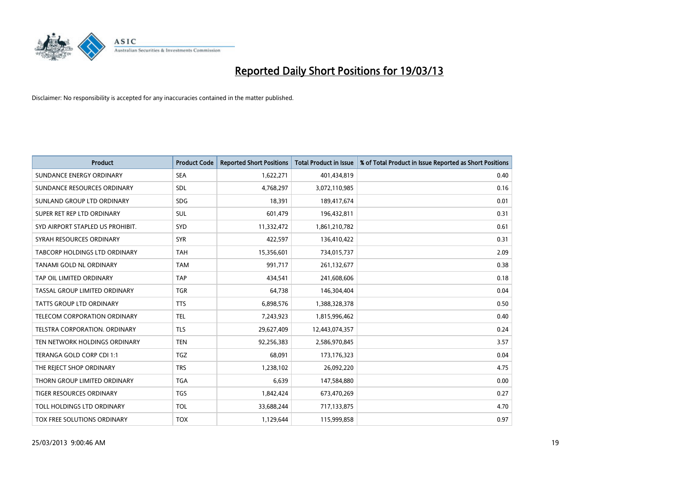

| <b>Product</b>                       | <b>Product Code</b> | <b>Reported Short Positions</b> | <b>Total Product in Issue</b> | % of Total Product in Issue Reported as Short Positions |
|--------------------------------------|---------------------|---------------------------------|-------------------------------|---------------------------------------------------------|
| SUNDANCE ENERGY ORDINARY             | <b>SEA</b>          | 1,622,271                       | 401,434,819                   | 0.40                                                    |
| SUNDANCE RESOURCES ORDINARY          | <b>SDL</b>          | 4,768,297                       | 3,072,110,985                 | 0.16                                                    |
| SUNLAND GROUP LTD ORDINARY           | <b>SDG</b>          | 18,391                          | 189,417,674                   | 0.01                                                    |
| SUPER RET REP LTD ORDINARY           | SUL                 | 601,479                         | 196,432,811                   | 0.31                                                    |
| SYD AIRPORT STAPLED US PROHIBIT.     | <b>SYD</b>          | 11,332,472                      | 1,861,210,782                 | 0.61                                                    |
| SYRAH RESOURCES ORDINARY             | <b>SYR</b>          | 422,597                         | 136,410,422                   | 0.31                                                    |
| TABCORP HOLDINGS LTD ORDINARY        | <b>TAH</b>          | 15,356,601                      | 734,015,737                   | 2.09                                                    |
| TANAMI GOLD NL ORDINARY              | <b>TAM</b>          | 991,717                         | 261,132,677                   | 0.38                                                    |
| TAP OIL LIMITED ORDINARY             | <b>TAP</b>          | 434,541                         | 241,608,606                   | 0.18                                                    |
| TASSAL GROUP LIMITED ORDINARY        | <b>TGR</b>          | 64,738                          | 146,304,404                   | 0.04                                                    |
| <b>TATTS GROUP LTD ORDINARY</b>      | <b>TTS</b>          | 6,898,576                       | 1,388,328,378                 | 0.50                                                    |
| <b>TELECOM CORPORATION ORDINARY</b>  | <b>TEL</b>          | 7,243,923                       | 1,815,996,462                 | 0.40                                                    |
| <b>TELSTRA CORPORATION, ORDINARY</b> | <b>TLS</b>          | 29,627,409                      | 12,443,074,357                | 0.24                                                    |
| TEN NETWORK HOLDINGS ORDINARY        | <b>TEN</b>          | 92,256,383                      | 2,586,970,845                 | 3.57                                                    |
| TERANGA GOLD CORP CDI 1:1            | <b>TGZ</b>          | 68,091                          | 173, 176, 323                 | 0.04                                                    |
| THE REJECT SHOP ORDINARY             | <b>TRS</b>          | 1,238,102                       | 26,092,220                    | 4.75                                                    |
| THORN GROUP LIMITED ORDINARY         | <b>TGA</b>          | 6,639                           | 147,584,880                   | 0.00                                                    |
| TIGER RESOURCES ORDINARY             | <b>TGS</b>          | 1,842,424                       | 673,470,269                   | 0.27                                                    |
| TOLL HOLDINGS LTD ORDINARY           | <b>TOL</b>          | 33,688,244                      | 717,133,875                   | 4.70                                                    |
| TOX FREE SOLUTIONS ORDINARY          | <b>TOX</b>          | 1,129,644                       | 115,999,858                   | 0.97                                                    |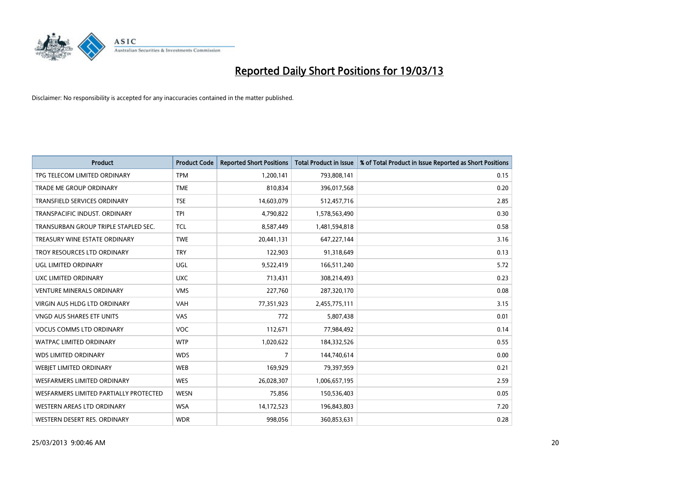

| <b>Product</b>                         | <b>Product Code</b> | <b>Reported Short Positions</b> | <b>Total Product in Issue</b> | % of Total Product in Issue Reported as Short Positions |
|----------------------------------------|---------------------|---------------------------------|-------------------------------|---------------------------------------------------------|
| TPG TELECOM LIMITED ORDINARY           | <b>TPM</b>          | 1,200,141                       | 793,808,141                   | 0.15                                                    |
| TRADE ME GROUP ORDINARY                | <b>TME</b>          | 810,834                         | 396,017,568                   | 0.20                                                    |
| <b>TRANSFIELD SERVICES ORDINARY</b>    | <b>TSE</b>          | 14,603,079                      | 512,457,716                   | 2.85                                                    |
| TRANSPACIFIC INDUST. ORDINARY          | <b>TPI</b>          | 4,790,822                       | 1,578,563,490                 | 0.30                                                    |
| TRANSURBAN GROUP TRIPLE STAPLED SEC.   | <b>TCL</b>          | 8,587,449                       | 1,481,594,818                 | 0.58                                                    |
| TREASURY WINE ESTATE ORDINARY          | <b>TWE</b>          | 20,441,131                      | 647,227,144                   | 3.16                                                    |
| TROY RESOURCES LTD ORDINARY            | <b>TRY</b>          | 122,903                         | 91,318,649                    | 0.13                                                    |
| UGL LIMITED ORDINARY                   | UGL                 | 9,522,419                       | 166,511,240                   | 5.72                                                    |
| UXC LIMITED ORDINARY                   | <b>UXC</b>          | 713,431                         | 308,214,493                   | 0.23                                                    |
| <b>VENTURE MINERALS ORDINARY</b>       | <b>VMS</b>          | 227,760                         | 287,320,170                   | 0.08                                                    |
| VIRGIN AUS HLDG LTD ORDINARY           | <b>VAH</b>          | 77,351,923                      | 2,455,775,111                 | 3.15                                                    |
| <b>VNGD AUS SHARES ETF UNITS</b>       | VAS                 | 772                             | 5,807,438                     | 0.01                                                    |
| <b>VOCUS COMMS LTD ORDINARY</b>        | <b>VOC</b>          | 112,671                         | 77,984,492                    | 0.14                                                    |
| <b>WATPAC LIMITED ORDINARY</b>         | <b>WTP</b>          | 1,020,622                       | 184,332,526                   | 0.55                                                    |
| <b>WDS LIMITED ORDINARY</b>            | <b>WDS</b>          | $\overline{7}$                  | 144,740,614                   | 0.00                                                    |
| WEBIET LIMITED ORDINARY                | <b>WEB</b>          | 169,929                         | 79,397,959                    | 0.21                                                    |
| WESFARMERS LIMITED ORDINARY            | <b>WES</b>          | 26,028,307                      | 1,006,657,195                 | 2.59                                                    |
| WESFARMERS LIMITED PARTIALLY PROTECTED | <b>WESN</b>         | 75,856                          | 150,536,403                   | 0.05                                                    |
| WESTERN AREAS LTD ORDINARY             | <b>WSA</b>          | 14,172,523                      | 196,843,803                   | 7.20                                                    |
| WESTERN DESERT RES. ORDINARY           | <b>WDR</b>          | 998,056                         | 360,853,631                   | 0.28                                                    |